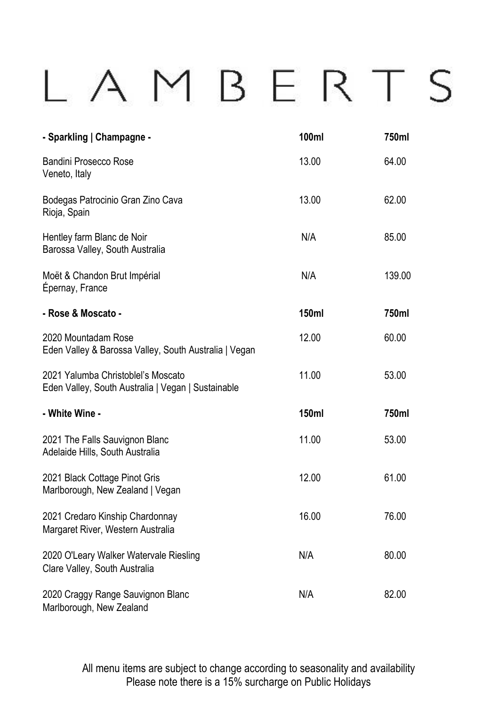## LAMBERTS

| - Sparkling   Champagne -                                                                | 100ml | 750ml  |
|------------------------------------------------------------------------------------------|-------|--------|
| Bandini Prosecco Rose<br>Veneto, Italy                                                   | 13.00 | 64.00  |
| Bodegas Patrocinio Gran Zino Cava<br>Rioja, Spain                                        | 13.00 | 62.00  |
| Hentley farm Blanc de Noir<br>Barossa Valley, South Australia                            | N/A   | 85.00  |
| Moët & Chandon Brut Impérial<br>Épernay, France                                          | N/A   | 139.00 |
| - Rose & Moscato -                                                                       | 150ml | 750ml  |
| 2020 Mountadam Rose<br>Eden Valley & Barossa Valley, South Australia   Vegan             | 12.00 | 60.00  |
| 2021 Yalumba Christoblel's Moscato<br>Eden Valley, South Australia   Vegan   Sustainable | 11.00 | 53.00  |
| - White Wine -                                                                           | 150ml | 750ml  |
| 2021 The Falls Sauvignon Blanc<br>Adelaide Hills, South Australia                        | 11.00 | 53.00  |
| 2021 Black Cottage Pinot Gris<br>Marlborough, New Zealand   Vegan                        | 12.00 | 61.00  |
| 2021 Credaro Kinship Chardonnay<br>Margaret River, Western Australia                     | 16.00 | 76.00  |
| 2020 O'Leary Walker Watervale Riesling<br>Clare Valley, South Australia                  | N/A   | 80.00  |
| 2020 Craggy Range Sauvignon Blanc<br>Marlborough, New Zealand                            | N/A   | 82.00  |

All menu items are subject to change according to seasonality and availability Please note there is a 15% surcharge on Public Holidays